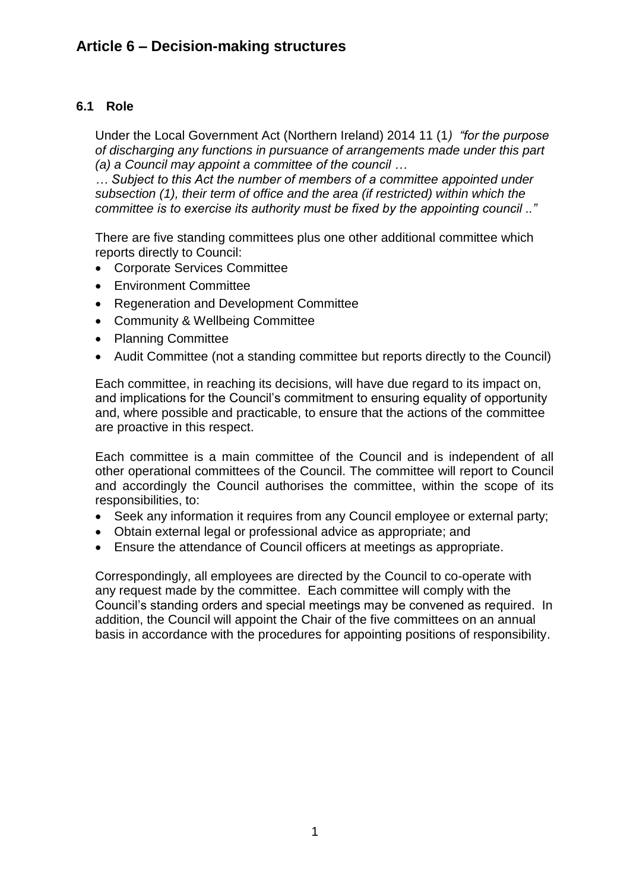# **6.1 Role**

Under the Local Government Act (Northern Ireland) 2014 11 (1*) "for the purpose of discharging any functions in pursuance of arrangements made under this part (a) a Council may appoint a committee of the council …*

*… Subject to this Act the number of members of a committee appointed under subsection (1), their term of office and the area (if restricted) within which the committee is to exercise its authority must be fixed by the appointing council .."*

There are five standing committees plus one other additional committee which reports directly to Council:

- Corporate Services Committee
- Environment Committee
- Regeneration and Development Committee
- Community & Wellbeing Committee
- Planning Committee
- Audit Committee (not a standing committee but reports directly to the Council)

Each committee, in reaching its decisions, will have due regard to its impact on, and implications for the Council's commitment to ensuring equality of opportunity and, where possible and practicable, to ensure that the actions of the committee are proactive in this respect.

Each committee is a main committee of the Council and is independent of all other operational committees of the Council. The committee will report to Council and accordingly the Council authorises the committee, within the scope of its responsibilities, to:

- Seek any information it requires from any Council employee or external party;
- Obtain external legal or professional advice as appropriate; and
- Ensure the attendance of Council officers at meetings as appropriate.

Correspondingly, all employees are directed by the Council to co-operate with any request made by the committee. Each committee will comply with the Council's standing orders and special meetings may be convened as required. In addition, the Council will appoint the Chair of the five committees on an annual basis in accordance with the procedures for appointing positions of responsibility.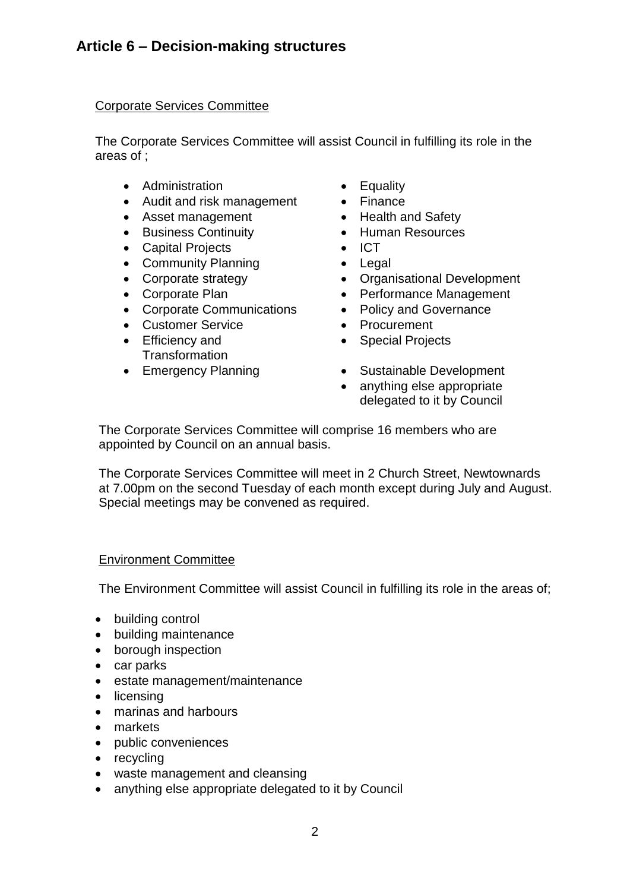## Corporate Services Committee

The Corporate Services Committee will assist Council in fulfilling its role in the areas of ;

- Administration  **Equality**
- Audit and risk management Finance
- Asset management Health and Safety
- Business Continuity Human Resources
- Capital Projects ICT
- Community Planning Legal<br>• Corporate strategy Organ
- 
- 
- Corporate Communications Policy and Governance
- Customer Service **•** Procurement
- Efficiency and **Transformation**
- 
- 
- 
- 
- 
- 
- 
- Organisational Development
- Corporate Plan **•** Performance Management
	-
	-
	- Special Projects
- Emergency Planning Sustainable Development
	- anything else appropriate delegated to it by Council

The Corporate Services Committee will comprise 16 members who are appointed by Council on an annual basis.

The Corporate Services Committee will meet in 2 Church Street, Newtownards at 7.00pm on the second Tuesday of each month except during July and August. Special meetings may be convened as required.

### Environment Committee

The Environment Committee will assist Council in fulfilling its role in the areas of;

- building control
- building maintenance
- borough inspection
- car parks
- estate management/maintenance
- licensing
- marinas and harbours
- markets
- public conveniences
- recycling
- waste management and cleansing
- anything else appropriate delegated to it by Council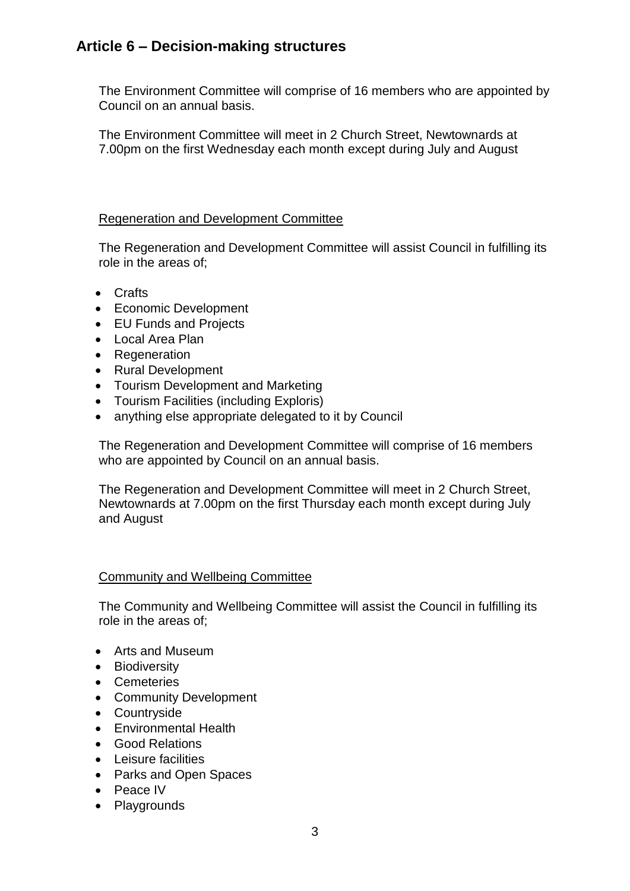# **Article 6 – Decision-making structures**

The Environment Committee will comprise of 16 members who are appointed by Council on an annual basis.

The Environment Committee will meet in 2 Church Street, Newtownards at 7.00pm on the first Wednesday each month except during July and August

### Regeneration and Development Committee

The Regeneration and Development Committee will assist Council in fulfilling its role in the areas of;

- Crafts
- Economic Development
- EU Funds and Projects
- Local Area Plan
- Regeneration
- Rural Development
- Tourism Development and Marketing
- Tourism Facilities (including Exploris)
- anything else appropriate delegated to it by Council

The Regeneration and Development Committee will comprise of 16 members who are appointed by Council on an annual basis.

The Regeneration and Development Committee will meet in 2 Church Street, Newtownards at 7.00pm on the first Thursday each month except during July and August

### Community and Wellbeing Committee

The Community and Wellbeing Committee will assist the Council in fulfilling its role in the areas of;

- Arts and Museum
- Biodiversity
- Cemeteries
- Community Development
- Countryside
- Environmental Health
- Good Relations
- Leisure facilities
- Parks and Open Spaces
- Peace IV
- Playgrounds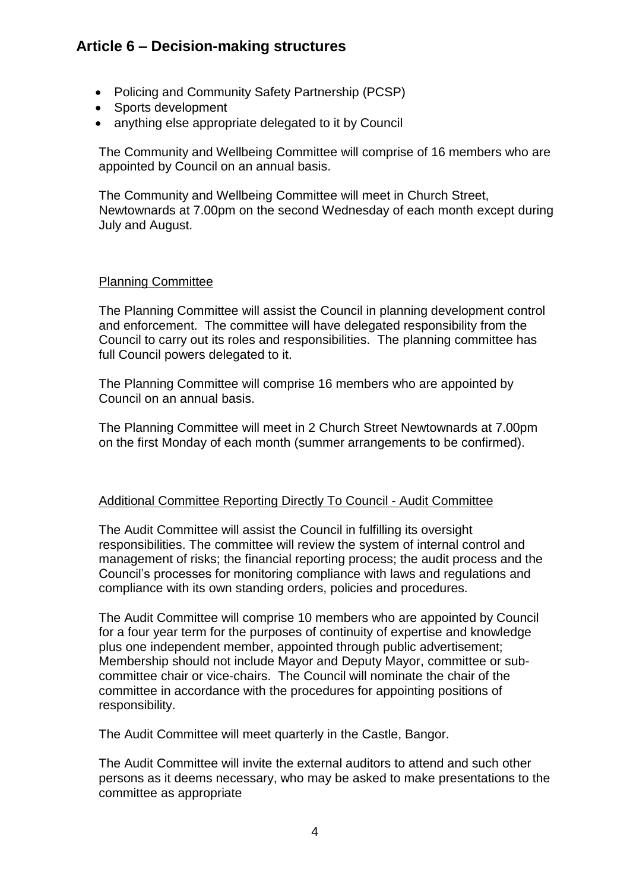# **Article 6 – Decision-making structures**

- Policing and Community Safety Partnership (PCSP)
- Sports development
- anything else appropriate delegated to it by Council

The Community and Wellbeing Committee will comprise of 16 members who are appointed by Council on an annual basis.

The Community and Wellbeing Committee will meet in Church Street, Newtownards at 7.00pm on the second Wednesday of each month except during July and August.

### Planning Committee

The Planning Committee will assist the Council in planning development control and enforcement. The committee will have delegated responsibility from the Council to carry out its roles and responsibilities. The planning committee has full Council powers delegated to it.

The Planning Committee will comprise 16 members who are appointed by Council on an annual basis.

The Planning Committee will meet in 2 Church Street Newtownards at 7.00pm on the first Monday of each month (summer arrangements to be confirmed).

### Additional Committee Reporting Directly To Council - Audit Committee

The Audit Committee will assist the Council in fulfilling its oversight responsibilities. The committee will review the system of internal control and management of risks; the financial reporting process; the audit process and the Council's processes for monitoring compliance with laws and regulations and compliance with its own standing orders, policies and procedures.

The Audit Committee will comprise 10 members who are appointed by Council for a four year term for the purposes of continuity of expertise and knowledge plus one independent member, appointed through public advertisement; Membership should not include Mayor and Deputy Mayor, committee or subcommittee chair or vice-chairs. The Council will nominate the chair of the committee in accordance with the procedures for appointing positions of responsibility.

The Audit Committee will meet quarterly in the Castle, Bangor.

The Audit Committee will invite the external auditors to attend and such other persons as it deems necessary, who may be asked to make presentations to the committee as appropriate